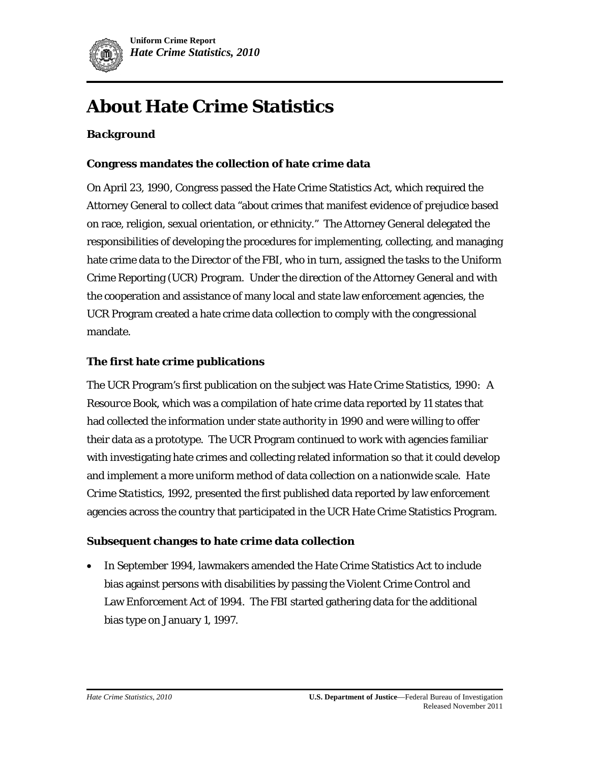

# **About Hate Crime Statistics**

# *Background*

#### **Congress mandates the collection of hate crime data**

On April 23, 1990, Congress passed the Hate Crime Statistics Act, which required the Attorney General to collect data "about crimes that manifest evidence of prejudice based on race, religion, sexual orientation, or ethnicity." The Attorney General delegated the responsibilities of developing the procedures for implementing, collecting, and managing hate crime data to the Director of the FBI, who in turn, assigned the tasks to the Uniform Crime Reporting (UCR) Program. Under the direction of the Attorney General and with the cooperation and assistance of many local and state law enforcement agencies, the UCR Program created a hate crime data collection to comply with the congressional mandate.

#### **The first hate crime publications**

The UCR Program's first publication on the subject was *Hate Crime Statistics, 1990: A Resource Book*, which was a compilation of hate crime data reported by 11 states that had collected the information under state authority in 1990 and were willing to offer their data as a prototype. The UCR Program continued to work with agencies familiar with investigating hate crimes and collecting related information so that it could develop and implement a more uniform method of data collection on a nationwide scale. *Hate Crime Statistics, 1992,* presented the first published data reported by law enforcement agencies across the country that participated in the UCR Hate Crime Statistics Program.

#### **Subsequent changes to hate crime data collection**

• In September 1994, lawmakers amended the Hate Crime Statistics Act to include bias against persons with disabilities by passing the Violent Crime Control and Law Enforcement Act of 1994. The FBI started gathering data for the additional bias type on January 1, 1997.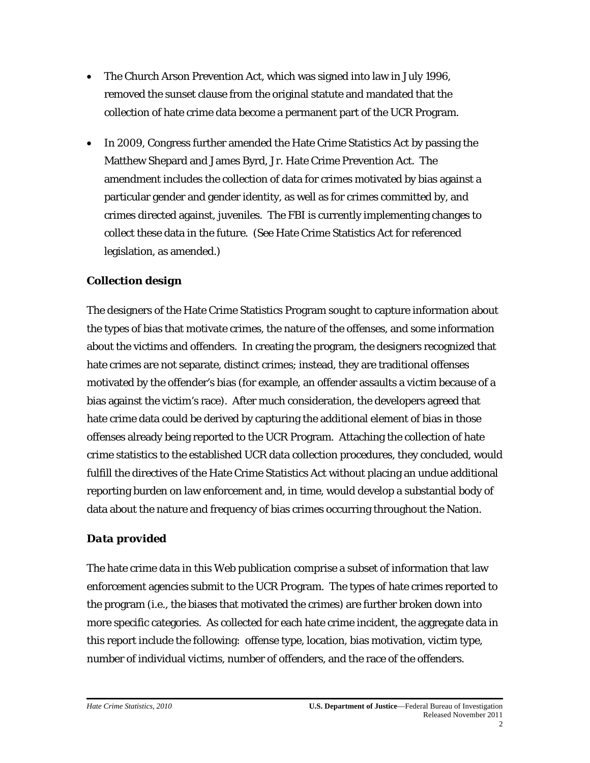- The Church Arson Prevention Act, which was signed into law in July 1996, removed the sunset clause from the original statute and mandated that the collection of hate crime data become a permanent part of the UCR Program.
- In 2009, Congress further amended the Hate Crime Statistics Act by passing the Matthew Shepard and James Byrd, Jr. Hate Crime Prevention Act. The amendment includes the collection of data for crimes motivated by bias against a particular gender and gender identity, as well as for crimes committed by, and crimes directed against, juveniles. The FBI is currently implementing changes to collect these data in the future. (See Hate Crime Statistics Act for referenced legislation, as amended.)

# *Collection design*

The designers of the Hate Crime Statistics Program sought to capture information about the types of bias that motivate crimes, the nature of the offenses, and some information about the victims and offenders. In creating the program, the designers recognized that hate crimes are not separate, distinct crimes; instead, they are traditional offenses motivated by the offender's bias (for example, an offender assaults a victim because of a bias against the victim's race). After much consideration, the developers agreed that hate crime data could be derived by capturing the additional element of bias in those offenses already being reported to the UCR Program. Attaching the collection of hate crime statistics to the established UCR data collection procedures, they concluded, would fulfill the directives of the Hate Crime Statistics Act without placing an undue additional reporting burden on law enforcement and, in time, would develop a substantial body of data about the nature and frequency of bias crimes occurring throughout the Nation.

## *Data provided*

The hate crime data in this Web publication comprise a subset of information that law enforcement agencies submit to the UCR Program. The types of hate crimes reported to the program (i.e., the biases that motivated the crimes) are further broken down into more specific categories. As collected for each hate crime incident, the aggregate data in this report include the following: offense type, location, bias motivation, victim type, number of individual victims, number of offenders, and the race of the offenders.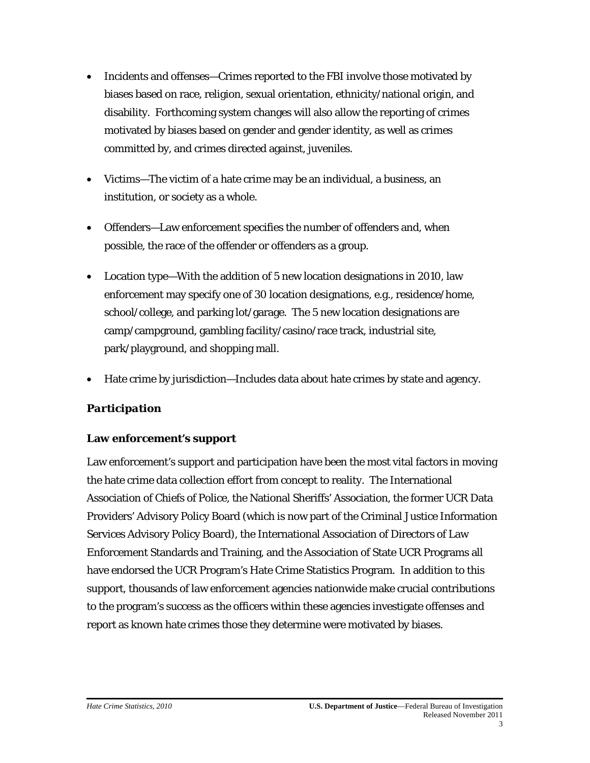- Incidents and offenses—Crimes reported to the FBI involve those motivated by biases based on race, religion, sexual orientation, ethnicity/national origin, and disability. Forthcoming system changes will also allow the reporting of crimes motivated by biases based on gender and gender identity, as well as crimes committed by, and crimes directed against, juveniles.
- Victims—The victim of a hate crime may be an individual, a business, an institution, or society as a whole.
- Offenders—Law enforcement specifies the number of offenders and, when possible, the race of the offender or offenders as a group.
- Location type—With the addition of 5 new location designations in 2010, law enforcement may specify one of 30 location designations, e.g., residence/home, school/college, and parking lot/garage. The 5 new location designations are camp/campground, gambling facility/casino/race track, industrial site, park/playground, and shopping mall.
- Hate crime by jurisdiction—Includes data about hate crimes by state and agency.

# *Participation*

## **Law enforcement's support**

Law enforcement's support and participation have been the most vital factors in moving the hate crime data collection effort from concept to reality. The International Association of Chiefs of Police, the National Sheriffs' Association, the former UCR Data Providers' Advisory Policy Board (which is now part of the Criminal Justice Information Services Advisory Policy Board), the International Association of Directors of Law Enforcement Standards and Training, and the Association of State UCR Programs all have endorsed the UCR Program's Hate Crime Statistics Program. In addition to this support, thousands of law enforcement agencies nationwide make crucial contributions to the program's success as the officers within these agencies investigate offenses and report as known hate crimes those they determine were motivated by biases.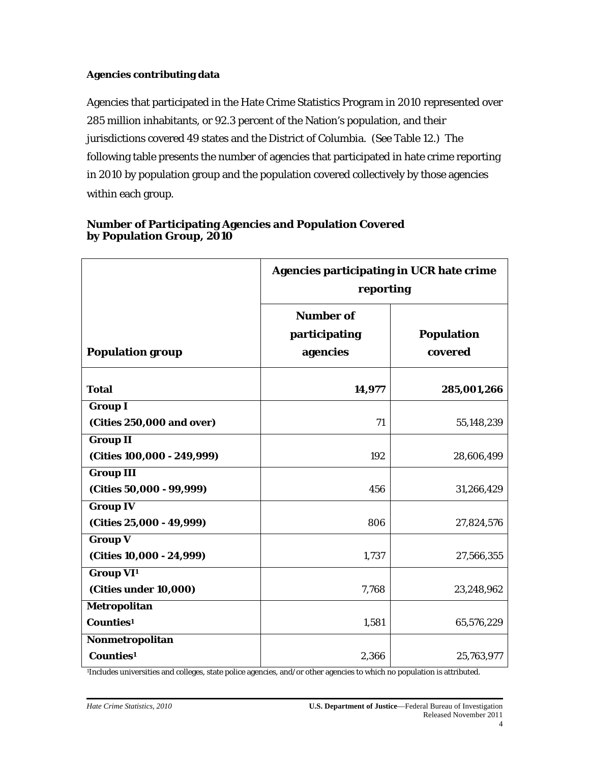## **Agencies contributing data**

Agencies that participated in the Hate Crime Statistics Program in 2010 represented over 285 million inhabitants, or 92.3 percent of the Nation's population, and their jurisdictions covered 49 states and the District of Columbia. (See Table 12.) The following table presents the number of agencies that participated in hate crime reporting in 2010 by population group and the population covered collectively by those agencies within each group.

|                                                       | <b>Agencies participating in UCR hate crime</b><br>reporting |                              |
|-------------------------------------------------------|--------------------------------------------------------------|------------------------------|
| <b>Population group</b>                               | <b>Number of</b><br>participating<br>agencies                | <b>Population</b><br>covered |
| <b>Total</b>                                          | 14,977                                                       | 285,001,266                  |
| <b>Group I</b><br>(Cities 250,000 and over)           | 71                                                           | 55,148,239                   |
| <b>Group II</b><br>(Cities 100,000 - 249,999)         | 192                                                          | 28,606,499                   |
| <b>Group III</b><br>(Cities 50,000 - 99,999)          | 456                                                          | 31,266,429                   |
| <b>Group IV</b><br>(Cities 25,000 - 49,999)           | 806                                                          | 27,824,576                   |
| <b>Group V</b><br>(Cities 10,000 - 24,999)            | 1,737                                                        | 27,566,355                   |
| <b>Group VI</b> <sup>1</sup><br>(Cities under 10,000) | 7,768                                                        | 23,248,962                   |
| Metropolitan<br>Counties <sup>1</sup>                 | 1,581                                                        | 65,576,229                   |
| Nonmetropolitan<br>Counties <sup>1</sup>              | 2,366                                                        | 25,763,977                   |

#### **Number of Participating Agencies and Population Covered by Population Group, 2010**

1Includes universities and colleges, state police agencies, and/or other agencies to which no population is attributed.